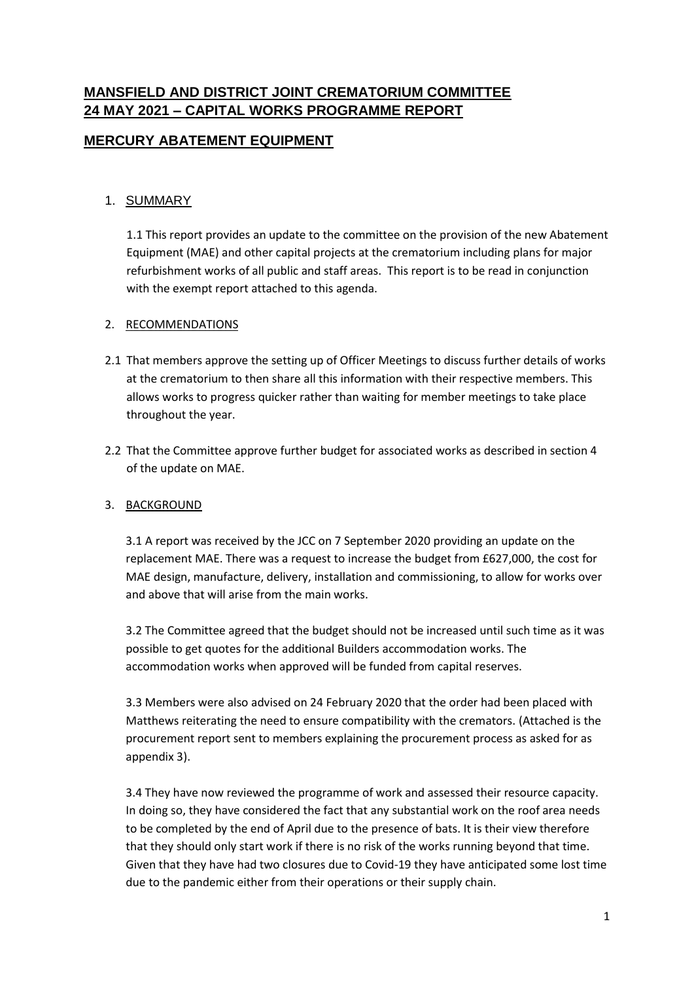# **MANSFIELD AND DISTRICT JOINT CREMATORIUM COMMITTEE 24 MAY 2021 – CAPITAL WORKS PROGRAMME REPORT**

# **MERCURY ABATEMENT EQUIPMENT**

## 1. SUMMARY

1.1 This report provides an update to the committee on the provision of the new Abatement Equipment (MAE) and other capital projects at the crematorium including plans for major refurbishment works of all public and staff areas. This report is to be read in conjunction with the exempt report attached to this agenda.

#### 2. RECOMMENDATIONS

- 2.1 That members approve the setting up of Officer Meetings to discuss further details of works at the crematorium to then share all this information with their respective members. This allows works to progress quicker rather than waiting for member meetings to take place throughout the year.
- 2.2 That the Committee approve further budget for associated works as described in section 4 of the update on MAE.

#### 3. BACKGROUND

3.1 A report was received by the JCC on 7 September 2020 providing an update on the replacement MAE. There was a request to increase the budget from £627,000, the cost for MAE design, manufacture, delivery, installation and commissioning, to allow for works over and above that will arise from the main works.

3.2 The Committee agreed that the budget should not be increased until such time as it was possible to get quotes for the additional Builders accommodation works. The accommodation works when approved will be funded from capital reserves.

3.3 Members were also advised on 24 February 2020 that the order had been placed with Matthews reiterating the need to ensure compatibility with the cremators. (Attached is the procurement report sent to members explaining the procurement process as asked for as appendix 3).

3.4 They have now reviewed the programme of work and assessed their resource capacity. In doing so, they have considered the fact that any substantial work on the roof area needs to be completed by the end of April due to the presence of bats. It is their view therefore that they should only start work if there is no risk of the works running beyond that time. Given that they have had two closures due to Covid-19 they have anticipated some lost time due to the pandemic either from their operations or their supply chain.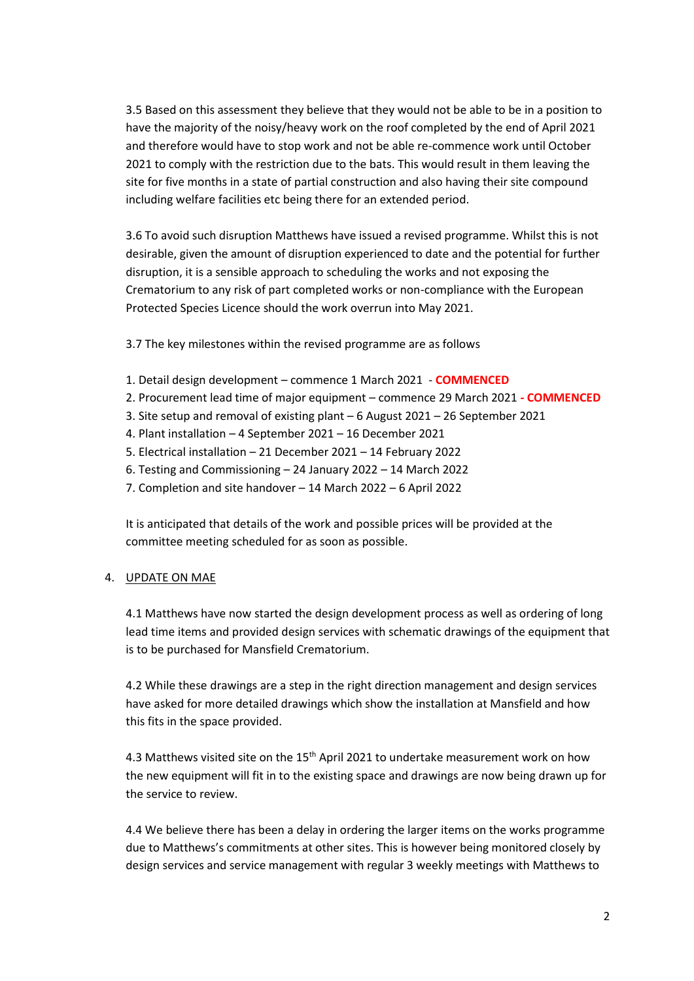3.5 Based on this assessment they believe that they would not be able to be in a position to have the majority of the noisy/heavy work on the roof completed by the end of April 2021 and therefore would have to stop work and not be able re-commence work until October 2021 to comply with the restriction due to the bats. This would result in them leaving the site for five months in a state of partial construction and also having their site compound including welfare facilities etc being there for an extended period.

3.6 To avoid such disruption Matthews have issued a revised programme. Whilst this is not desirable, given the amount of disruption experienced to date and the potential for further disruption, it is a sensible approach to scheduling the works and not exposing the Crematorium to any risk of part completed works or non-compliance with the European Protected Species Licence should the work overrun into May 2021.

3.7 The key milestones within the revised programme are as follows

- 1. Detail design development commence 1 March 2021 **COMMENCED**
- 2. Procurement lead time of major equipment commence 29 March 2021 **- COMMENCED**
- 3. Site setup and removal of existing plant 6 August 2021 26 September 2021
- 4. Plant installation 4 September 2021 16 December 2021
- 5. Electrical installation 21 December 2021 14 February 2022
- 6. Testing and Commissioning 24 January 2022 14 March 2022
- 7. Completion and site handover 14 March 2022 6 April 2022

It is anticipated that details of the work and possible prices will be provided at the committee meeting scheduled for as soon as possible.

#### 4. UPDATE ON MAE

4.1 Matthews have now started the design development process as well as ordering of long lead time items and provided design services with schematic drawings of the equipment that is to be purchased for Mansfield Crematorium.

4.2 While these drawings are a step in the right direction management and design services have asked for more detailed drawings which show the installation at Mansfield and how this fits in the space provided.

4.3 Matthews visited site on the 15<sup>th</sup> April 2021 to undertake measurement work on how the new equipment will fit in to the existing space and drawings are now being drawn up for the service to review.

4.4 We believe there has been a delay in ordering the larger items on the works programme due to Matthews's commitments at other sites. This is however being monitored closely by design services and service management with regular 3 weekly meetings with Matthews to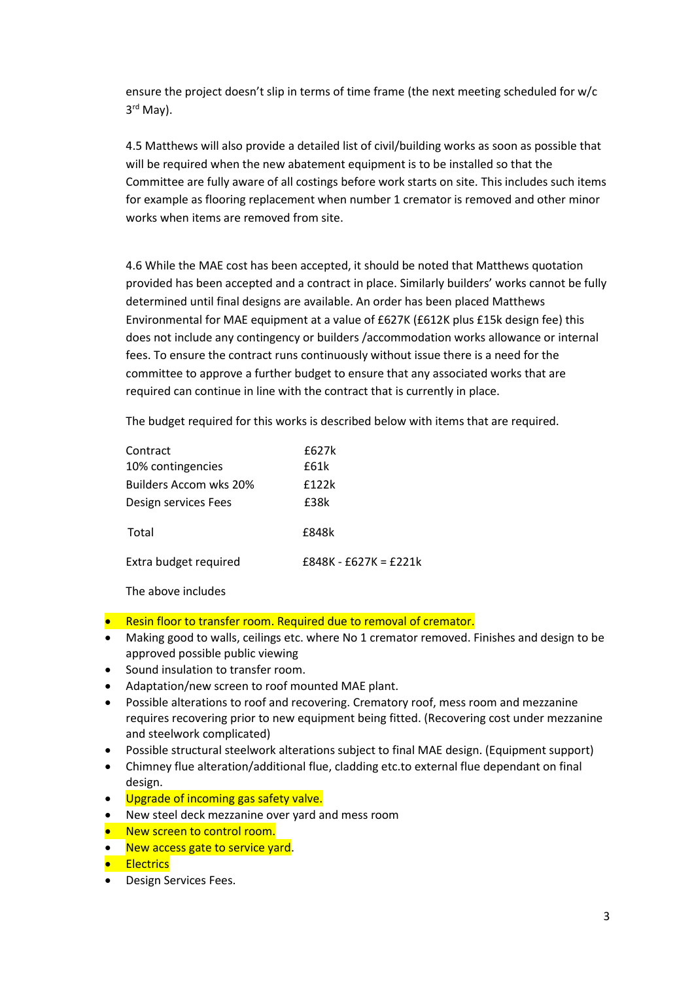ensure the project doesn't slip in terms of time frame (the next meeting scheduled for w/c 3 rd May).

4.5 Matthews will also provide a detailed list of civil/building works as soon as possible that will be required when the new abatement equipment is to be installed so that the Committee are fully aware of all costings before work starts on site. This includes such items for example as flooring replacement when number 1 cremator is removed and other minor works when items are removed from site.

4.6 While the MAE cost has been accepted, it should be noted that Matthews quotation provided has been accepted and a contract in place. Similarly builders' works cannot be fully determined until final designs are available. An order has been placed Matthews Environmental for MAE equipment at a value of £627K (£612K plus £15k design fee) this does not include any contingency or builders /accommodation works allowance or internal fees. To ensure the contract runs continuously without issue there is a need for the committee to approve a further budget to ensure that any associated works that are required can continue in line with the contract that is currently in place.

The budget required for this works is described below with items that are required.

| Contract               | f627k                   |
|------------------------|-------------------------|
| 10% contingencies      | f61k                    |
| Builders Accom wks 20% | f122k                   |
| Design services Fees   | f38k                    |
| Total                  | £848k                   |
| Extra budget required  | $f848K - f627K = f221k$ |

The above includes

- **•** Resin floor to transfer room. Required due to removal of cremator.
- Making good to walls, ceilings etc. where No 1 cremator removed. Finishes and design to be approved possible public viewing
- Sound insulation to transfer room.
- Adaptation/new screen to roof mounted MAE plant.
- Possible alterations to roof and recovering. Crematory roof, mess room and mezzanine requires recovering prior to new equipment being fitted. (Recovering cost under mezzanine and steelwork complicated)
- Possible structural steelwork alterations subject to final MAE design. (Equipment support)
- Chimney flue alteration/additional flue, cladding etc.to external flue dependant on final design.
- . Upgrade of incoming gas safety valve.
- New steel deck mezzanine over yard and mess room
- New screen to control room.
- New access gate to service yard.
- **•** Electrics
- Design Services Fees.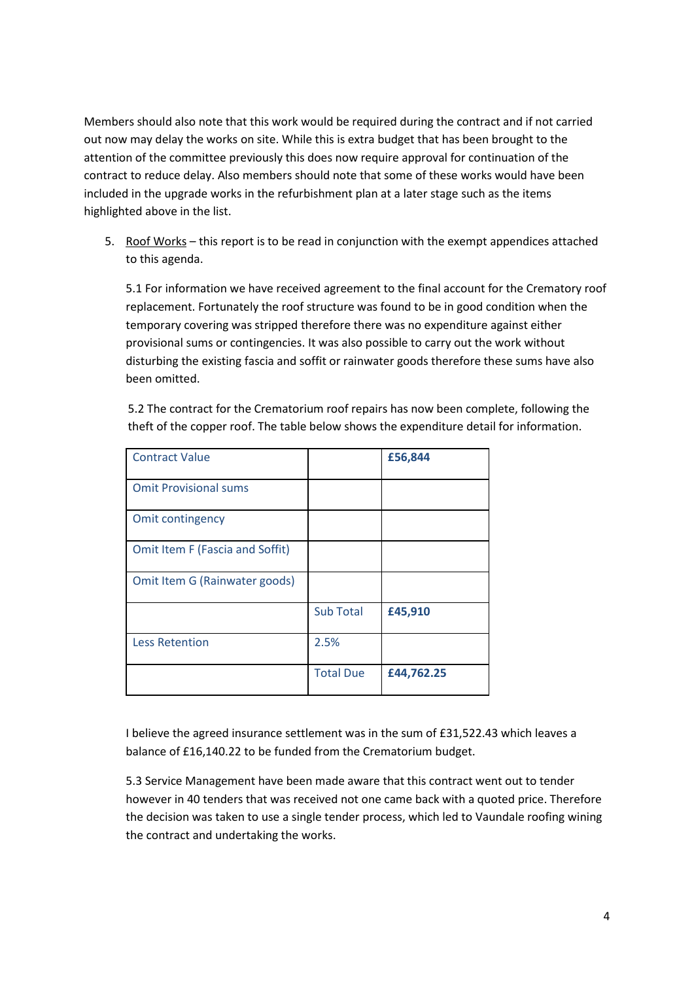Members should also note that this work would be required during the contract and if not carried out now may delay the works on site. While this is extra budget that has been brought to the attention of the committee previously this does now require approval for continuation of the contract to reduce delay. Also members should note that some of these works would have been included in the upgrade works in the refurbishment plan at a later stage such as the items highlighted above in the list.

5. Roof Works – this report is to be read in conjunction with the exempt appendices attached to this agenda.

5.1 For information we have received agreement to the final account for the Crematory roof replacement. Fortunately the roof structure was found to be in good condition when the temporary covering was stripped therefore there was no expenditure against either provisional sums or contingencies. It was also possible to carry out the work without disturbing the existing fascia and soffit or rainwater goods therefore these sums have also been omitted.

5.2 The contract for the Crematorium roof repairs has now been complete, following the theft of the copper roof. The table below shows the expenditure detail for information.

| <b>Contract Value</b>           |                  | £56,844    |
|---------------------------------|------------------|------------|
| <b>Omit Provisional sums</b>    |                  |            |
| Omit contingency                |                  |            |
| Omit Item F (Fascia and Soffit) |                  |            |
| Omit Item G (Rainwater goods)   |                  |            |
|                                 | <b>Sub Total</b> | £45,910    |
| <b>Less Retention</b>           | 2.5%             |            |
|                                 | <b>Total Due</b> | £44,762.25 |

I believe the agreed insurance settlement was in the sum of £31,522.43 which leaves a balance of £16,140.22 to be funded from the Crematorium budget.

5.3 Service Management have been made aware that this contract went out to tender however in 40 tenders that was received not one came back with a quoted price. Therefore the decision was taken to use a single tender process, which led to Vaundale roofing wining the contract and undertaking the works.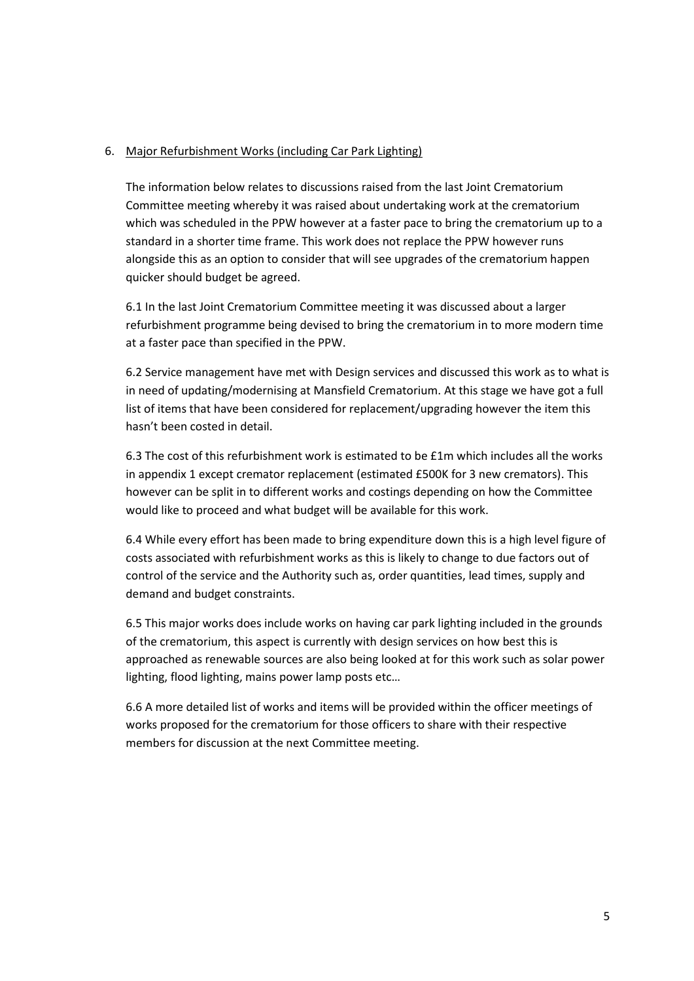#### 6. Major Refurbishment Works (including Car Park Lighting)

The information below relates to discussions raised from the last Joint Crematorium Committee meeting whereby it was raised about undertaking work at the crematorium which was scheduled in the PPW however at a faster pace to bring the crematorium up to a standard in a shorter time frame. This work does not replace the PPW however runs alongside this as an option to consider that will see upgrades of the crematorium happen quicker should budget be agreed.

6.1 In the last Joint Crematorium Committee meeting it was discussed about a larger refurbishment programme being devised to bring the crematorium in to more modern time at a faster pace than specified in the PPW.

6.2 Service management have met with Design services and discussed this work as to what is in need of updating/modernising at Mansfield Crematorium. At this stage we have got a full list of items that have been considered for replacement/upgrading however the item this hasn't been costed in detail.

6.3 The cost of this refurbishment work is estimated to be £1m which includes all the works in appendix 1 except cremator replacement (estimated £500K for 3 new cremators). This however can be split in to different works and costings depending on how the Committee would like to proceed and what budget will be available for this work.

6.4 While every effort has been made to bring expenditure down this is a high level figure of costs associated with refurbishment works as this is likely to change to due factors out of control of the service and the Authority such as, order quantities, lead times, supply and demand and budget constraints.

6.5 This major works does include works on having car park lighting included in the grounds of the crematorium, this aspect is currently with design services on how best this is approached as renewable sources are also being looked at for this work such as solar power lighting, flood lighting, mains power lamp posts etc…

6.6 A more detailed list of works and items will be provided within the officer meetings of works proposed for the crematorium for those officers to share with their respective members for discussion at the next Committee meeting.